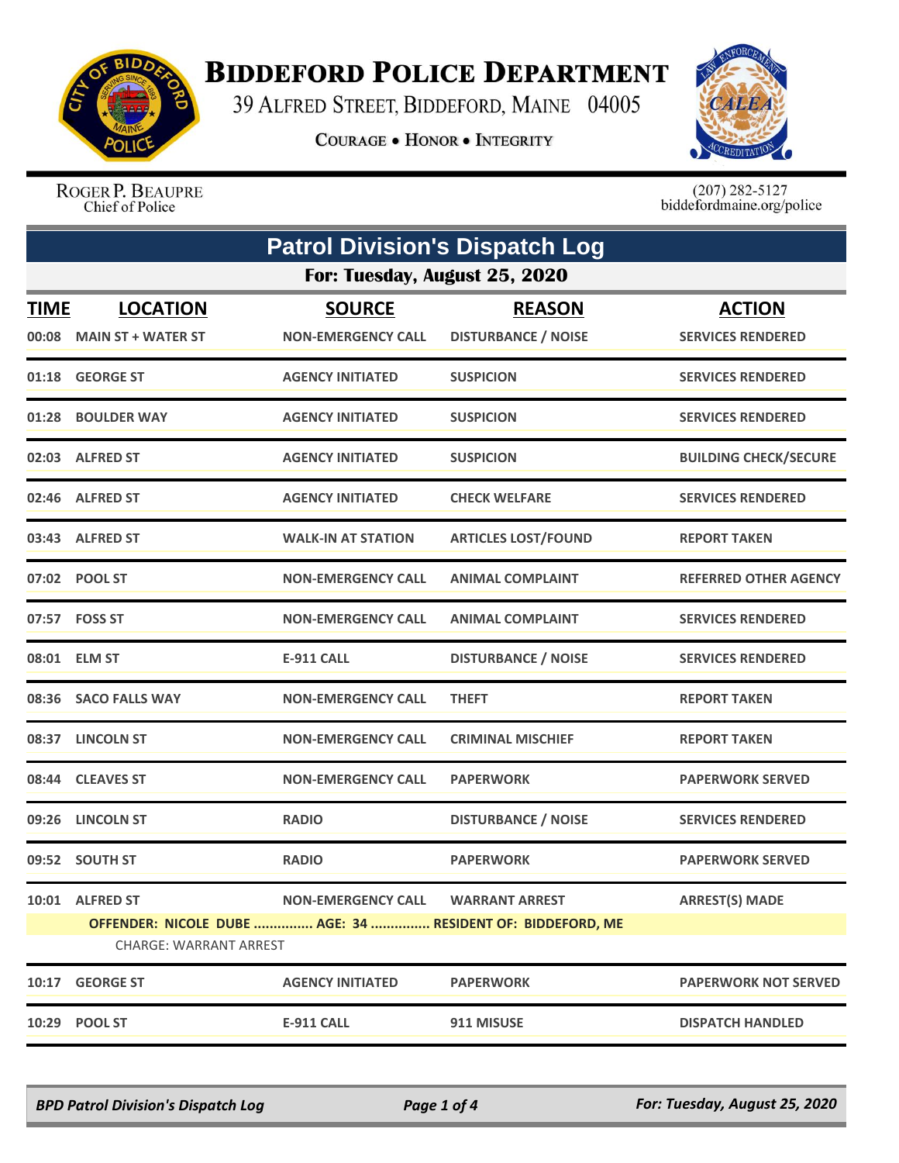

## **BIDDEFORD POLICE DEPARTMENT**

39 ALFRED STREET, BIDDEFORD, MAINE 04005

**COURAGE . HONOR . INTEGRITY** 



ROGER P. BEAUPRE Chief of Police

 $(207)$  282-5127<br>biddefordmaine.org/police

|                      | <b>Patrol Division's Dispatch Log</b><br>For: Tuesday, August 25, 2020 |                                            |                                                            |                                           |  |
|----------------------|------------------------------------------------------------------------|--------------------------------------------|------------------------------------------------------------|-------------------------------------------|--|
|                      |                                                                        |                                            |                                                            |                                           |  |
| <u>TIME</u><br>00:08 | <b>LOCATION</b><br><b>MAIN ST + WATER ST</b>                           | <b>SOURCE</b><br><b>NON-EMERGENCY CALL</b> | <b>REASON</b><br><b>DISTURBANCE / NOISE</b>                | <b>ACTION</b><br><b>SERVICES RENDERED</b> |  |
|                      |                                                                        |                                            |                                                            | <b>SERVICES RENDERED</b>                  |  |
|                      | 01:18 GEORGE ST                                                        | <b>AGENCY INITIATED</b>                    | <b>SUSPICION</b>                                           |                                           |  |
|                      | 01:28 BOULDER WAY                                                      | <b>AGENCY INITIATED</b>                    | <b>SUSPICION</b>                                           | <b>SERVICES RENDERED</b>                  |  |
|                      | 02:03 ALFRED ST                                                        | <b>AGENCY INITIATED</b>                    | <b>SUSPICION</b>                                           | <b>BUILDING CHECK/SECURE</b>              |  |
|                      | 02:46 ALFRED ST                                                        | <b>AGENCY INITIATED</b>                    | <b>CHECK WELFARE</b>                                       | <b>SERVICES RENDERED</b>                  |  |
|                      | 03:43 ALFRED ST                                                        | <b>WALK-IN AT STATION</b>                  | <b>ARTICLES LOST/FOUND</b>                                 | <b>REPORT TAKEN</b>                       |  |
|                      | 07:02 POOL ST                                                          | <b>NON-EMERGENCY CALL</b>                  | <b>ANIMAL COMPLAINT</b>                                    | <b>REFERRED OTHER AGENCY</b>              |  |
|                      | 07:57 FOSS ST                                                          | <b>NON-EMERGENCY CALL</b>                  | <b>ANIMAL COMPLAINT</b>                                    | <b>SERVICES RENDERED</b>                  |  |
|                      | 08:01 ELM ST                                                           | <b>E-911 CALL</b>                          | <b>DISTURBANCE / NOISE</b>                                 | <b>SERVICES RENDERED</b>                  |  |
|                      | 08:36 SACO FALLS WAY                                                   | <b>NON-EMERGENCY CALL</b>                  | <b>THEFT</b>                                               | <b>REPORT TAKEN</b>                       |  |
|                      | 08:37 LINCOLN ST                                                       | <b>NON-EMERGENCY CALL</b>                  | <b>CRIMINAL MISCHIEF</b>                                   | <b>REPORT TAKEN</b>                       |  |
|                      | 08:44 CLEAVES ST                                                       | <b>NON-EMERGENCY CALL</b>                  | <b>PAPERWORK</b>                                           | <b>PAPERWORK SERVED</b>                   |  |
| 09:26                | <b>LINCOLN ST</b>                                                      | <b>RADIO</b>                               | <b>DISTURBANCE / NOISE</b>                                 | <b>SERVICES RENDERED</b>                  |  |
|                      | 09:52 SOUTH ST                                                         | <b>RADIO</b>                               | <b>PAPERWORK</b>                                           | <b>PAPERWORK SERVED</b>                   |  |
|                      | 10:01 ALFRED ST                                                        | <b>NON-EMERGENCY CALL</b>                  | <b>WARRANT ARREST</b>                                      | <b>ARREST(S) MADE</b>                     |  |
|                      | <b>CHARGE: WARRANT ARREST</b>                                          |                                            | OFFENDER: NICOLE DUBE  AGE: 34  RESIDENT OF: BIDDEFORD, ME |                                           |  |
| 10:17                | <b>GEORGE ST</b>                                                       | <b>AGENCY INITIATED</b>                    | <b>PAPERWORK</b>                                           | <b>PAPERWORK NOT SERVED</b>               |  |
| 10:29                | <b>POOL ST</b>                                                         | <b>E-911 CALL</b>                          | 911 MISUSE                                                 | <b>DISPATCH HANDLED</b>                   |  |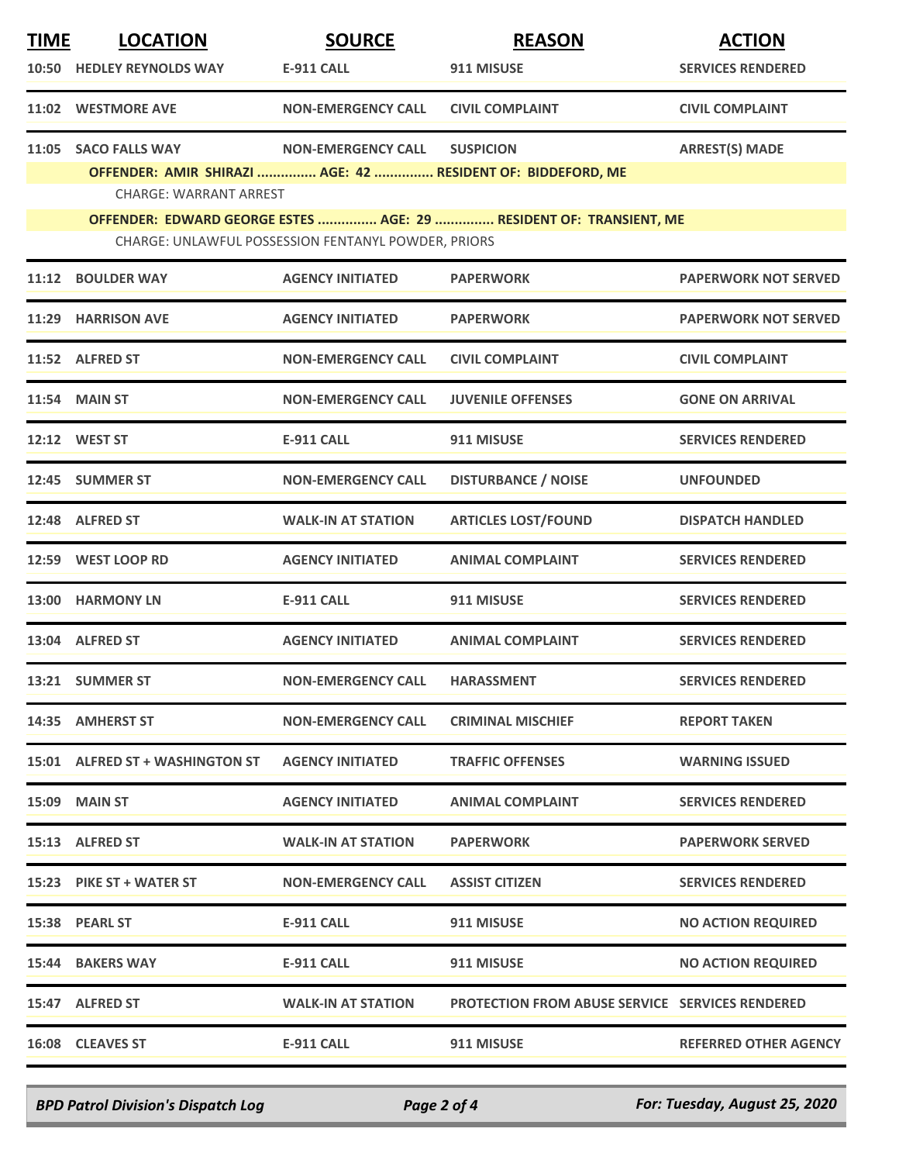| <b>TIME</b> | <b>LOCATION</b>                                                                                                           | <b>SOURCE</b>             | <b>REASON</b>                                          | <b>ACTION</b>                |  |
|-------------|---------------------------------------------------------------------------------------------------------------------------|---------------------------|--------------------------------------------------------|------------------------------|--|
|             | 10:50 HEDLEY REYNOLDS WAY                                                                                                 | <b>E-911 CALL</b>         | 911 MISUSE                                             | <b>SERVICES RENDERED</b>     |  |
|             | 11:02 WESTMORE AVE                                                                                                        | <b>NON-EMERGENCY CALL</b> | <b>CIVIL COMPLAINT</b>                                 | <b>CIVIL COMPLAINT</b>       |  |
|             | 11:05 SACO FALLS WAY                                                                                                      | <b>NON-EMERGENCY CALL</b> | <b>SUSPICION</b>                                       | <b>ARREST(S) MADE</b>        |  |
|             | OFFENDER: AMIR SHIRAZI  AGE: 42  RESIDENT OF: BIDDEFORD, ME                                                               |                           |                                                        |                              |  |
|             | <b>CHARGE: WARRANT ARREST</b>                                                                                             |                           |                                                        |                              |  |
|             | OFFENDER: EDWARD GEORGE ESTES  AGE: 29  RESIDENT OF: TRANSIENT, ME<br>CHARGE: UNLAWFUL POSSESSION FENTANYL POWDER, PRIORS |                           |                                                        |                              |  |
|             | 11:12 BOULDER WAY                                                                                                         | <b>AGENCY INITIATED</b>   | <b>PAPERWORK</b>                                       | <b>PAPERWORK NOT SERVED</b>  |  |
|             | 11:29 HARRISON AVE                                                                                                        | <b>AGENCY INITIATED</b>   | <b>PAPERWORK</b>                                       | <b>PAPERWORK NOT SERVED</b>  |  |
|             | 11:52 ALFRED ST                                                                                                           | <b>NON-EMERGENCY CALL</b> | <b>CIVIL COMPLAINT</b>                                 | <b>CIVIL COMPLAINT</b>       |  |
|             | <b>11:54 MAIN ST</b>                                                                                                      | <b>NON-EMERGENCY CALL</b> | <b>JUVENILE OFFENSES</b>                               | <b>GONE ON ARRIVAL</b>       |  |
|             | 12:12 WEST ST                                                                                                             | <b>E-911 CALL</b>         | 911 MISUSE                                             | <b>SERVICES RENDERED</b>     |  |
|             | 12:45 SUMMER ST                                                                                                           | <b>NON-EMERGENCY CALL</b> | <b>DISTURBANCE / NOISE</b>                             | <b>UNFOUNDED</b>             |  |
|             | 12:48 ALFRED ST                                                                                                           | <b>WALK-IN AT STATION</b> | <b>ARTICLES LOST/FOUND</b>                             | <b>DISPATCH HANDLED</b>      |  |
|             | 12:59 WEST LOOP RD                                                                                                        | <b>AGENCY INITIATED</b>   | <b>ANIMAL COMPLAINT</b>                                | <b>SERVICES RENDERED</b>     |  |
|             | 13:00 HARMONY LN                                                                                                          | <b>E-911 CALL</b>         | 911 MISUSE                                             | <b>SERVICES RENDERED</b>     |  |
|             | 13:04 ALFRED ST                                                                                                           | <b>AGENCY INITIATED</b>   | <b>ANIMAL COMPLAINT</b>                                | <b>SERVICES RENDERED</b>     |  |
|             | 13:21 SUMMER ST                                                                                                           | <b>NON-EMERGENCY CALL</b> | <b>HARASSMENT</b>                                      | <b>SERVICES RENDERED</b>     |  |
|             | 14:35 AMHERST ST                                                                                                          | <b>NON-EMERGENCY CALL</b> | <b>CRIMINAL MISCHIEF</b>                               | <b>REPORT TAKEN</b>          |  |
|             | 15:01 ALFRED ST + WASHINGTON ST                                                                                           | <b>AGENCY INITIATED</b>   | <b>TRAFFIC OFFENSES</b>                                | <b>WARNING ISSUED</b>        |  |
|             | <b>15:09 MAIN ST</b>                                                                                                      | <b>AGENCY INITIATED</b>   | <b>ANIMAL COMPLAINT</b>                                | <b>SERVICES RENDERED</b>     |  |
|             | 15:13 ALFRED ST                                                                                                           | <b>WALK-IN AT STATION</b> | <b>PAPERWORK</b>                                       | <b>PAPERWORK SERVED</b>      |  |
|             | 15:23 PIKE ST + WATER ST                                                                                                  | <b>NON-EMERGENCY CALL</b> | <b>ASSIST CITIZEN</b>                                  | <b>SERVICES RENDERED</b>     |  |
|             | 15:38 PEARL ST                                                                                                            | <b>E-911 CALL</b>         | 911 MISUSE                                             | <b>NO ACTION REQUIRED</b>    |  |
|             | 15:44 BAKERS WAY                                                                                                          | E-911 CALL                | 911 MISUSE                                             | <b>NO ACTION REQUIRED</b>    |  |
|             | 15:47 ALFRED ST                                                                                                           | <b>WALK-IN AT STATION</b> | <b>PROTECTION FROM ABUSE SERVICE SERVICES RENDERED</b> |                              |  |
|             | 16:08 CLEAVES ST                                                                                                          | <b>E-911 CALL</b>         | 911 MISUSE                                             | <b>REFERRED OTHER AGENCY</b> |  |
|             |                                                                                                                           |                           |                                                        |                              |  |

*BPD Patrol Division's Dispatch Log Page 2 of 4 For: Tuesday, August 25, 2020*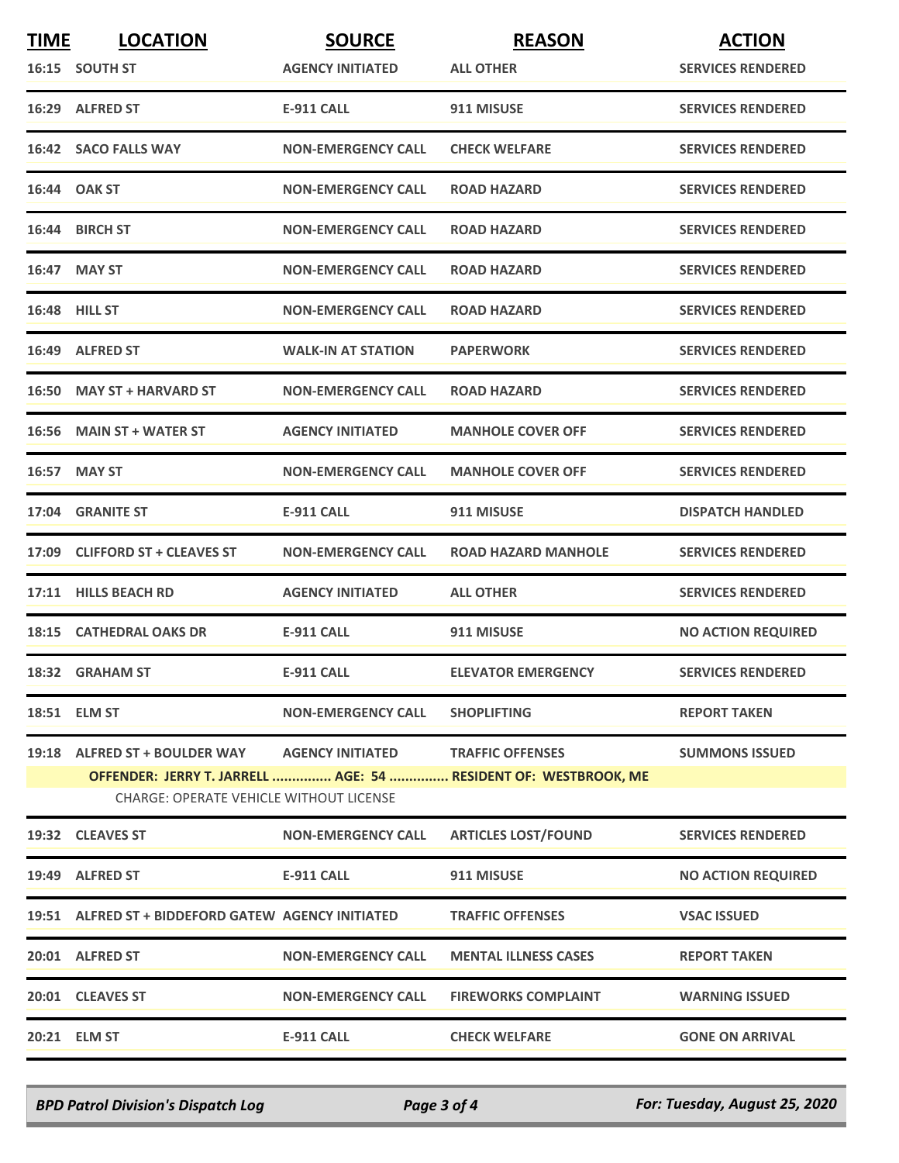| <b>TIME</b> | <b>LOCATION</b>                                    | <b>SOURCE</b>             | <b>REASON</b>                                                   | <b>ACTION</b>             |
|-------------|----------------------------------------------------|---------------------------|-----------------------------------------------------------------|---------------------------|
|             | 16:15 SOUTH ST                                     | <b>AGENCY INITIATED</b>   | <b>ALL OTHER</b>                                                | <b>SERVICES RENDERED</b>  |
|             | 16:29 ALFRED ST                                    | <b>E-911 CALL</b>         | 911 MISUSE                                                      | <b>SERVICES RENDERED</b>  |
|             | 16:42 SACO FALLS WAY                               | <b>NON-EMERGENCY CALL</b> | <b>CHECK WELFARE</b>                                            | <b>SERVICES RENDERED</b>  |
|             | 16:44 OAK ST                                       | <b>NON-EMERGENCY CALL</b> | <b>ROAD HAZARD</b>                                              | <b>SERVICES RENDERED</b>  |
|             | 16:44 BIRCH ST                                     | <b>NON-EMERGENCY CALL</b> | <b>ROAD HAZARD</b>                                              | <b>SERVICES RENDERED</b>  |
|             | 16:47 MAY ST                                       | <b>NON-EMERGENCY CALL</b> | <b>ROAD HAZARD</b>                                              | <b>SERVICES RENDERED</b>  |
|             | <b>16:48 HILL ST</b>                               | <b>NON-EMERGENCY CALL</b> | <b>ROAD HAZARD</b>                                              | <b>SERVICES RENDERED</b>  |
|             | 16:49 ALFRED ST                                    | <b>WALK-IN AT STATION</b> | <b>PAPERWORK</b>                                                | <b>SERVICES RENDERED</b>  |
|             | 16:50 MAY ST + HARVARD ST                          | <b>NON-EMERGENCY CALL</b> | <b>ROAD HAZARD</b>                                              | <b>SERVICES RENDERED</b>  |
|             | 16:56 MAIN ST + WATER ST                           | <b>AGENCY INITIATED</b>   | <b>MANHOLE COVER OFF</b>                                        | <b>SERVICES RENDERED</b>  |
|             | 16:57 MAY ST                                       | <b>NON-EMERGENCY CALL</b> | <b>MANHOLE COVER OFF</b>                                        | <b>SERVICES RENDERED</b>  |
|             | 17:04 GRANITE ST                                   | <b>E-911 CALL</b>         | 911 MISUSE                                                      | <b>DISPATCH HANDLED</b>   |
|             | 17:09 CLIFFORD ST + CLEAVES ST                     | <b>NON-EMERGENCY CALL</b> | <b>ROAD HAZARD MANHOLE</b>                                      | <b>SERVICES RENDERED</b>  |
| 17:11       | <b>HILLS BEACH RD</b>                              | <b>AGENCY INITIATED</b>   | <b>ALL OTHER</b>                                                | <b>SERVICES RENDERED</b>  |
|             | 18:15 CATHEDRAL OAKS DR                            | <b>E-911 CALL</b>         | 911 MISUSE                                                      | <b>NO ACTION REQUIRED</b> |
|             | 18:32 GRAHAM ST                                    | <b>E-911 CALL</b>         | <b>ELEVATOR EMERGENCY</b>                                       | <b>SERVICES RENDERED</b>  |
|             | 18:51 ELM ST                                       | <b>NON-EMERGENCY CALL</b> | <b>SHOPLIFTING</b>                                              | <b>REPORT TAKEN</b>       |
|             | 19:18 ALFRED ST + BOULDER WAY AGENCY INITIATED     |                           | <b>TRAFFIC OFFENSES</b>                                         | <b>SUMMONS ISSUED</b>     |
|             | <b>CHARGE: OPERATE VEHICLE WITHOUT LICENSE</b>     |                           | OFFENDER: JERRY T. JARRELL  AGE: 54  RESIDENT OF: WESTBROOK, ME |                           |
|             | 19:32 CLEAVES ST                                   | <b>NON-EMERGENCY CALL</b> | <b>ARTICLES LOST/FOUND</b>                                      | <b>SERVICES RENDERED</b>  |
|             | 19:49 ALFRED ST                                    | <b>E-911 CALL</b>         | 911 MISUSE                                                      | <b>NO ACTION REQUIRED</b> |
|             | 19:51 ALFRED ST + BIDDEFORD GATEW AGENCY INITIATED |                           | <b>TRAFFIC OFFENSES</b>                                         | <b>VSAC ISSUED</b>        |
|             | 20:01 ALFRED ST                                    | <b>NON-EMERGENCY CALL</b> | <b>MENTAL ILLNESS CASES</b>                                     | <b>REPORT TAKEN</b>       |
|             | 20:01 CLEAVES ST                                   | <b>NON-EMERGENCY CALL</b> | <b>FIREWORKS COMPLAINT</b>                                      | <b>WARNING ISSUED</b>     |
|             | 20:21 ELM ST                                       | <b>E-911 CALL</b>         | <b>CHECK WELFARE</b>                                            | <b>GONE ON ARRIVAL</b>    |

*BPD Patrol Division's Dispatch Log Page 3 of 4 For: Tuesday, August 25, 2020*